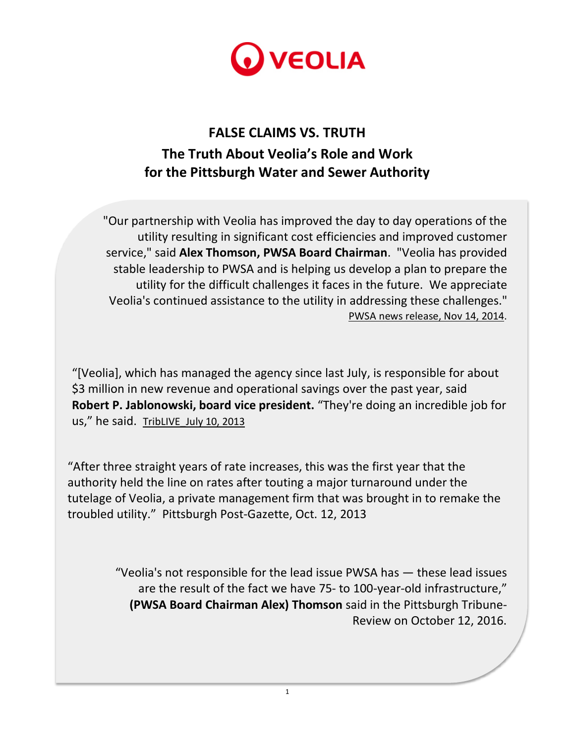

## **FALSE CLAIMS VS. TRUTH The Truth About Veolia's Role and Work for the Pittsburgh Water and Sewer Authority**

"Our partnership with Veolia has improved the day to day operations of the utility resulting in significant cost efficiencies and improved customer service," said **Alex Thomson, PWSA Board Chairman**. "Veolia has provided stable leadership to PWSA and is helping us develop a plan to prepare the utility for the difficult challenges it faces in the future. We appreciate Veolia's continued assistance to the utility in addressing these challenges." PWSA news [release,](http://www.pgh2o.com/release?id=3748) Nov 14, 2014.

"[Veolia], which has managed the agency since last July, is responsible for about \$3 million in new revenue and operational savings over the past year, said **Robert P. Jablonowski, board vice president.** "They're doing an incredible job for us," he said. TribLIVE July 10, 2013

"After three straight years of rate increases, this was the first year that the authority held the line on rates after touting a major turnaround under the tutelage of Veolia, a private management firm that was brought in to remake the troubled utility." [Pittsburgh Post-Gazette,](http://www.post-gazette.com/local/city/2013/10/12/Pittsburgh-water-authority-sets-4-year-rate-hikes/stories/201310120025) Oct. 12, 2013

1

"Veolia's not responsible for the lead issue PWSA has — these lead issues are the result of the fact we have 75- to 100-year-old infrastructure," **(PWSA Board Chairman Alex) Thomson** said in the Pittsburgh Tribune-Review on October 12, 2016.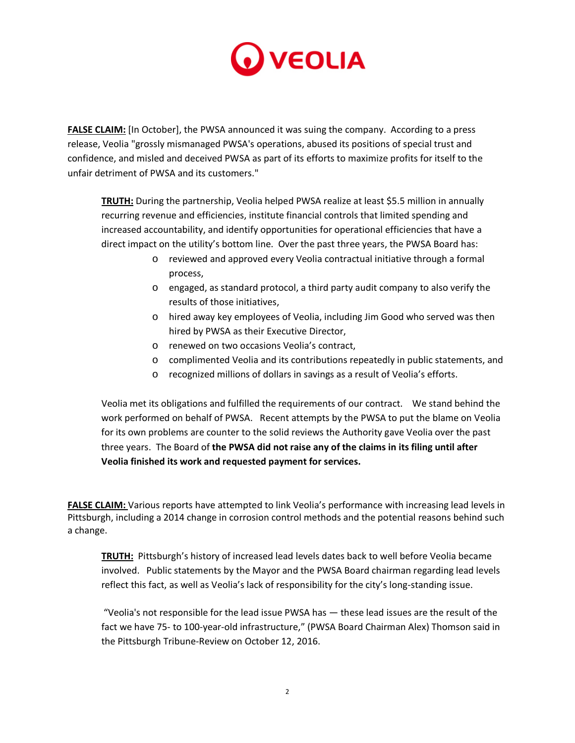

**FALSE CLAIM:** [In October], the PWSA announced it was suing the company. According to a press release, Veolia "grossly mismanaged PWSA's operations, abused its positions of special trust and confidence, and misled and deceived PWSA as part of its efforts to maximize profits for itself to the unfair detriment of PWSA and its customers."

**TRUTH:** During the partnership, Veolia helped PWSA realize at least \$5.5 million in annually recurring revenue and efficiencies, institute financial controls that limited spending and increased accountability, and identify opportunities for operational efficiencies that have a direct impact on the utility's bottom line. Over the past three years, the PWSA Board has:

- o reviewed and approved every Veolia contractual initiative through a formal process,
- o engaged, as standard protocol, a third party audit company to also verify the results of those initiatives,
- o hired away key employees of Veolia, including Jim Good who served was then hired by PWSA as their Executive Director,
- o renewed on two occasions Veolia's contract,
- o complimented Veolia and its contributions repeatedly in public statements, and
- o recognized millions of dollars in savings as a result of Veolia's efforts.

Veolia met its obligations and fulfilled the requirements of our contract. We stand behind the work performed on behalf of PWSA. Recent attempts by the PWSA to put the blame on Veolia for its own problems are counter to the solid reviews the Authority gave Veolia over the past three years. The Board of **the PWSA did not raise any of the claims in its filing until after Veolia finished its work and requested payment for services.**

**FALSE CLAIM:** Various reports have attempted to link Veolia's performance with increasing lead levels in Pittsburgh, including a 2014 change in corrosion control methods and the potential reasons behind such a change.

**TRUTH:** Pittsburgh's history of increased lead levels dates back to well before Veolia became involved. Public statements by the Mayor and the PWSA Board chairman regarding lead levels reflect this fact, as well as Veolia's lack of responsibility for the city's long-standing issue.

"Veolia's not responsible for the lead issue PWSA has — these lead issues are the result of the fact we have 75- to 100-year-old infrastructure," (PWSA Board Chairman Alex) Thomson said in the Pittsburgh Tribune-Review on October 12, 2016.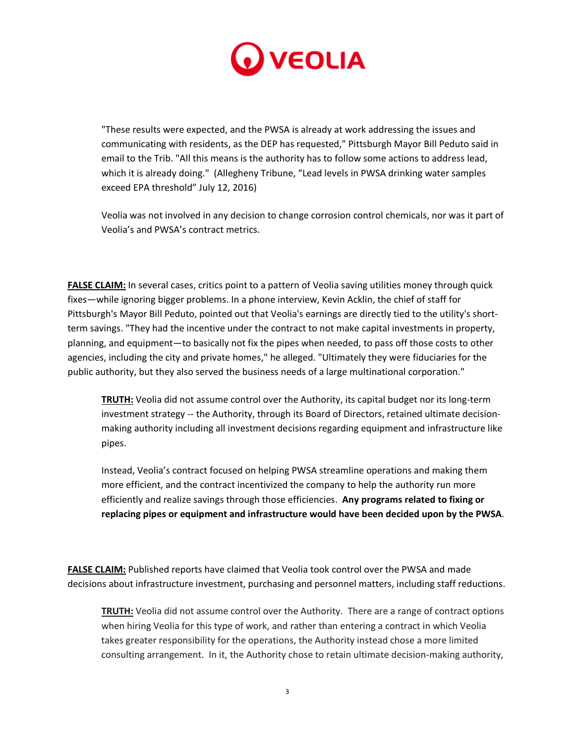

"These results were expected, and the PWSA is already at work addressing the issues and communicating with residents, as the DEP has requested," Pittsburgh Mayor Bill Peduto said in email to the Trib. "All this means is the authority has to follow some actions to address lead, which it is already doing." (Allegheny Tribune, "Lead levels in PWSA drinking water samples exceed EPA threshold" July 12, 2016)

Veolia was not involved in any decision to change corrosion control chemicals, nor was it part of Veolia's and PWSA's contract metrics.

**FALSE CLAIM:** In several cases, critics point to a pattern of Veolia saving utilities money through quick fixes—while ignoring bigger problems. In a phone interview, Kevin Acklin, the chief of staff for Pittsburgh's Mayor Bill Peduto, pointed out that Veolia's earnings are directly tied to the utility's shortterm savings. "They had the incentive under the contract to not make capital investments in property, planning, and equipment—to basically not fix the pipes when needed, to pass off those costs to other agencies, including the city and private homes," he alleged. "Ultimately they were fiduciaries for the public authority, but they also served the business needs of a large multinational corporation."

**TRUTH:** Veolia did not assume control over the Authority, its capital budget nor its long-term investment strategy -- the Authority, through its Board of Directors, retained ultimate decisionmaking authority including all investment decisions regarding equipment and infrastructure like pipes.

Instead, Veolia's contract focused on helping PWSA streamline operations and making them more efficient, and the contract incentivized the company to help the authority run more efficiently and realize savings through those efficiencies. **Any programs related to fixing or replacing pipes or equipment and infrastructure would have been decided upon by the PWSA**.

**FALSE CLAIM:** Published reports have claimed that Veolia took control over the PWSA and made decisions about infrastructure investment, purchasing and personnel matters, including staff reductions.

**TRUTH:** Veolia did not assume control over the Authority. There are a range of contract options when hiring Veolia for this type of work, and rather than entering a contract in which Veolia takes greater responsibility for the operations, the Authority instead chose a more limited consulting arrangement. In it, the Authority chose to retain ultimate decision-making authority,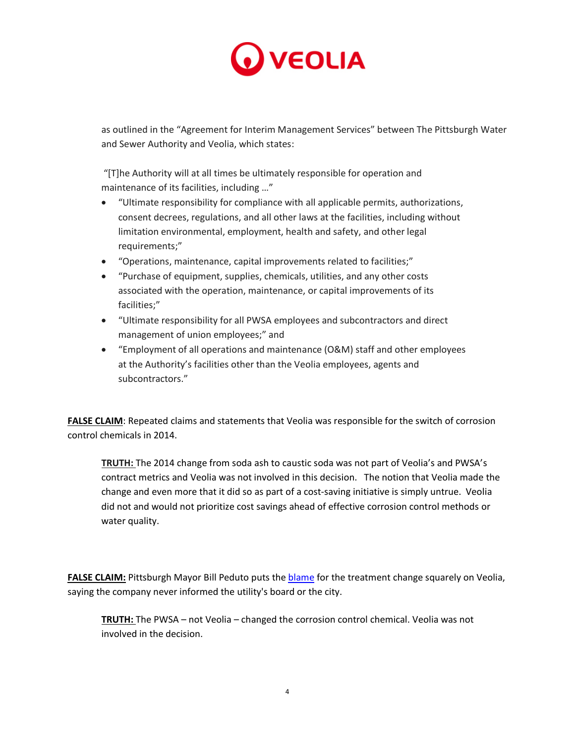

as outlined in the "Agreement for Interim Management Services" between The Pittsburgh Water and Sewer Authority and Veolia, which states:

"[T]he Authority will at all times be ultimately responsible for operation and maintenance of its facilities, including …"

- "Ultimate responsibility for compliance with all applicable permits, authorizations, consent decrees, regulations, and all other laws at the facilities, including without limitation environmental, employment, health and safety, and other legal requirements;"
- "Operations, maintenance, capital improvements related to facilities;"
- "Purchase of equipment, supplies, chemicals, utilities, and any other costs associated with the operation, maintenance, or capital improvements of its facilities;"
- "Ultimate responsibility for all PWSA employees and subcontractors and direct management of union employees;" and
- "Employment of all operations and maintenance (O&M) staff and other employees at the Authority's facilities other than the Veolia employees, agents and subcontractors."

**FALSE CLAIM**: Repeated claims and statements that Veolia was responsible for the switch of corrosion control chemicals in 2014.

**TRUTH:** The 2014 change from soda ash to caustic soda was not part of Veolia's and PWSA's contract metrics and Veolia was not involved in this decision. The notion that Veolia made the change and even more that it did so as part of a cost-saving initiative is simply untrue. Veolia did not and would not prioritize cost savings ahead of effective corrosion control methods or water quality.

FALSE CLAIM: Pittsburgh Mayor Bill Peduto puts the **blame** for the treatment change squarely on Veolia, saying the company never informed the utility's board or the city.

**TRUTH:** The PWSA – not Veolia – changed the corrosion control chemical. Veolia was not involved in the decision.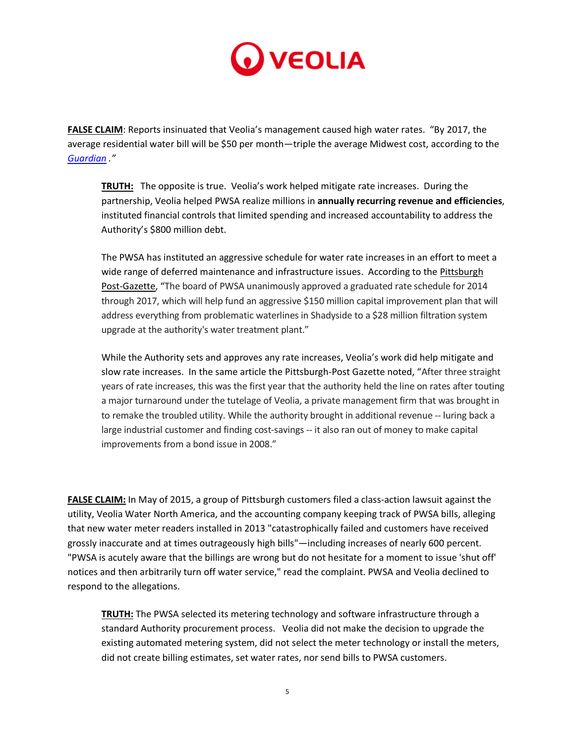

**FALSE CLAIM**: Reports insinuated that Veolia's management caused high water rates. "By 2017, the average residential water bill will be \$50 per month—triple the average Midwest cost, according to the *[Guardian](https://www.theguardian.com/environment/2016/sep/12/pittsburgh-water-expensive-rust-colored-corrosive) ."*

**TRUTH:** The opposite is true. Veolia's work helped mitigate rate increases. During the partnership, Veolia helped PWSA realize millions in **annually recurring revenue and efficiencies**, instituted financial controls that limited spending and increased accountability to address the Authority's \$800 million debt.

The PWSA has instituted an aggressive schedule for water rate increases in an effort to meet a wide range of deferred maintenance and infrastructure issues. According to th[e Pittsburgh](http://www.post-gazette.com/local/city/2013/10/12/Pittsburgh-water-authority-sets-4-year-rate-hikes/stories/201310120025)  [Post-Gazette,](http://www.post-gazette.com/local/city/2013/10/12/Pittsburgh-water-authority-sets-4-year-rate-hikes/stories/201310120025) "The board of PWSA unanimously approved a graduated rate schedule for 2014 through 2017, which will help fund an aggressive \$150 million capital improvement plan that will address everything from problematic waterlines in Shadyside to a \$28 million filtration system upgrade at the authority's water treatment plant."

While the Authority sets and approves any rate increases, Veolia's work did help mitigate and slow rate increases. In the same article the Pittsburgh-Post Gazette noted, "After three straight years of rate increases, this was the first year that the authority held the line on rates after touting a major turnaround under the tutelage of Veolia, a private management firm that was brought in to remake the troubled utility. While the authority brought in additional revenue -- luring back a large industrial customer and finding cost-savings -- it also ran out of money to make capital improvements from a bond issue in 2008."

**FALSE CLAIM:** In May of 2015, a group of Pittsburgh customers filed a class-action lawsuit against the utility, Veolia Water North America, and the accounting company keeping track of PWSA bills, alleging that new water meter readers installed in 2013 "catastrophically failed and customers have received grossly inaccurate and at times outrageously high bills"—including increases of nearly 600 percent. "PWSA is acutely aware that the billings are wrong but do not hesitate for a moment to issue 'shut off' notices and then arbitrarily turn off water service," read the complaint. PWSA and Veolia declined to respond to the allegations.

**TRUTH:** The PWSA selected its metering technology and software infrastructure through a standard Authority procurement process. Veolia did not make the decision to upgrade the existing automated metering system, did not select the meter technology or install the meters, did not create billing estimates, set water rates, nor send bills to PWSA customers.